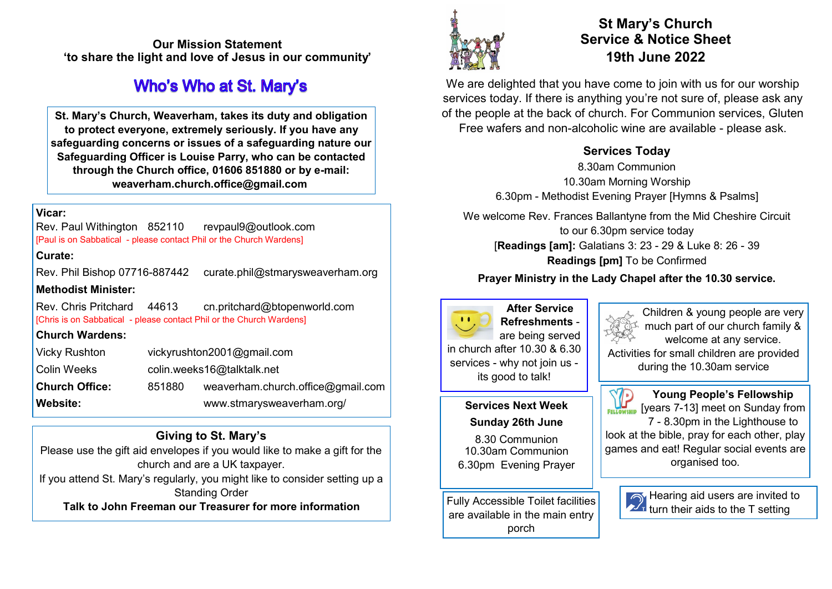**Our Mission Statement 'to share the light and love of Jesus in our community'** 

# **Who's Who at St. Mary's**

**St. Mary's Church, Weaverham, takes its duty and obligation to protect everyone, extremely seriously. If you have any safeguarding concerns or issues of a safeguarding nature our Safeguarding Officer is Louise Parry, who can be contacted through the Church office, 01606 851880 or by e-mail: weaverham.church.office@gmail.com**

## **Vicar:**

Rev. Paul Withington 852110 revpaul9@outlook.com [Paul is on Sabbatical - please contact Phil or the Church Wardens]

### **Curate:**

Rev. Phil Bishop 07716-887442 curate.phil@stmarysweaverham.org **Methodist Minister:**

Rev. Chris Pritchard 44613 cn.pritchard@btopenworld.com [Chris is on Sabbatical - please contact Phil or the Church Wardens]

## **Church Wardens:**

| <b>Vicky Rushton</b>  | vickyrushton2001@gmail.com |                                   |
|-----------------------|----------------------------|-----------------------------------|
| Colin Weeks           | colin.weeks16@talktalk.net |                                   |
| <b>Church Office:</b> | 851880                     | weaverham.church.office@gmail.com |
| <b>Website:</b>       |                            | www.stmarysweaverham.org/         |

# **Giving to St. Mary's**

Please use the gift aid envelopes if you would like to make a gift for the church and are a UK taxpayer.

If you attend St. Mary's regularly, you might like to consider setting up a Standing Order

**Talk to John Freeman our Treasurer for more information**



# **St Mary's Church Service & Notice Sheet 19th June 2022**

We are delighted that you have come to join with us for our worship services today. If there is anything you're not sure of, please ask any of the people at the back of church. For Communion services, Gluten Free wafers and non-alcoholic wine are available - please ask.

# **Services Today**

8.30am Communion 10.30am Morning Worship 6.30pm - Methodist Evening Prayer [Hymns & Psalms]

We welcome Rev. Frances Ballantyne from the Mid Cheshire Circuit to our 6.30pm service today [**Readings [am]:** Galatians 3: 23 - 29 & Luke 8: 26 - 39 **Readings [pm]** To be Confirmed

# **Prayer Ministry in the Lady Chapel after the 10.30 service.**



**After Service Refreshments** are being served in church after 10.30 & 6.30 services - why not join us its good to talk!

### **Services Next Week Sunday 26th June**

8.30 Communion 10.30am Communion 6.30pm Evening Prayer

Fully Accessible Toilet facilities are available in the main entry porch

Children & young people are very much part of our church family & welcome at any service. Activities for small children are provided during the 10.30am service

**Young People's Fellowship**   $\mathbb{F}_{\text{FELGWNHID}}$  [years 7-13] meet on Sunday from 7 - 8.30pm in the Lighthouse to look at the bible, pray for each other, play games and eat! Regular social events are organised too.



Hearing aid users are invited to turn their aids to the T setting